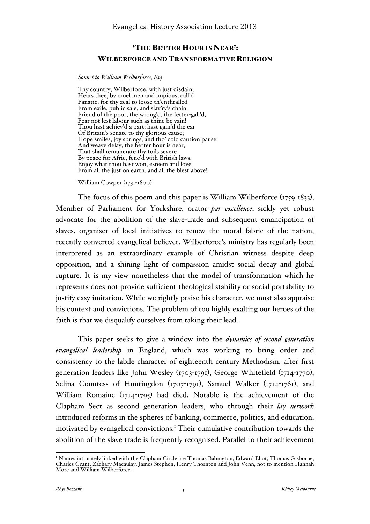## 'THE BETTER HOUR IS NEAR': WILBERFORCE AND TRANSFORMATIVE RELIGION

#### *Sonnet to William Wilberforce, Esq*

Thy country, Wilberforce, with just disdain, Hears thee, by cruel men and impious, call'd Fanatic, for thy zeal to loose th'enthralled From exile, public sale, and slav'ry's chain. Friend of the poor, the wrong'd, the fetter-gall'd, Fear not lest labour such as thine be vain! Thou hast achiev'd a part; hast gain'd the ear Of Britain's senate to thy glorious cause; Hope smiles, joy springs, and tho' cold caution pause And weave delay, the better hour is near, That shall remunerate thy toils severe By peace for Afric, fenc'd with British laws. Enjoy what thou hast won, esteem and love From all the just on earth, and all the blest above!

William Cowper (1731-1800)

The focus of this poem and this paper is William Wilberforce  $(1759-1833)$ , Member of Parliament for Yorkshire, orator *par excellence*, sickly yet robust advocate for the abolition of the slave-trade and subsequent emancipation of slaves, organiser of local initiatives to renew the moral fabric of the nation, recently converted evangelical believer. Wilberforce's ministry has regularly been interpreted as an extraordinary example of Christian witness despite deep opposition, and a shining light of compassion amidst social decay and global rupture. It is my view nonetheless that the model of transformation which he represents does not provide sufficient theological stability or social portability to justify easy imitation. While we rightly praise his character, we must also appraise his context and convictions. The problem of too highly exalting our heroes of the faith is that we disqualify ourselves from taking their lead.

This paper seeks to give a window into the *dynamics of second generation evangelical leadership* in England, which was working to bring order and consistency to the labile character of eighteenth century Methodism, after first generation leaders like John Wesley (1703-1791), George Whitefield (1714-1770), Selina Countess of Huntingdon (1707-1791), Samuel Walker (1714-1761), and William Romaine (1714-1795) had died. Notable is the achievement of the Clapham Sect as second generation leaders, who through their *lay network* introduced reforms in the spheres of banking, commerce, politics, and education, motivated by evangelical convictions. <sup>1</sup> Their cumulative contribution towards the abolition of the slave trade is frequently recognised. Parallel to their achievement

<sup>&</sup>lt;sup>1</sup> Names intimately linked with the Clapham Circle are Thomas Babington, Edward Eliot, Thomas Gisborne, Charles Grant, Zachary Macaulay, James Stephen, Henry Thornton and John Venn, not to mention Hannah More and William Wilberforce.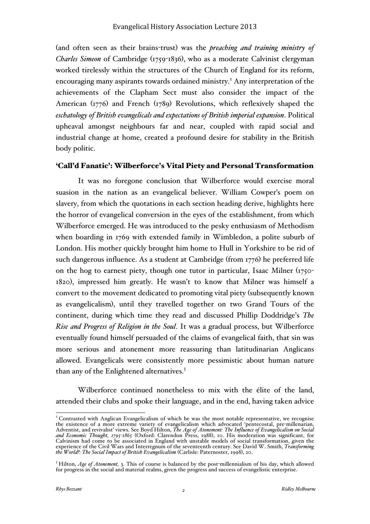(and often seen as their brains-trust) was the *preaching and training ministry of Charles Simeon* of Cambridge (1759-1836), who as a moderate Calvinist clergyman worked tirelessly within the structures of the Church of England for its reform, encouraging many aspirants towards ordained ministry. <sup>2</sup> Any interpretation of the achievements of the Clapham Sect must also consider the impact of the American (1776) and French (1789) Revolutions, which reflexively shaped the *eschatology of British evangelicals and expectations of British imperial expansion*. Political upheaval amongst neighbours far and near, coupled with rapid social and industrial change at home, created a profound desire for stability in the British body politic.

### 'Call'd Fanatic': Wilberforce's Vital Piety and Personal Transformation

It was no foregone conclusion that Wilberforce would exercise moral suasion in the nation as an evangelical believer. William Cowper's poem on slavery, from which the quotations in each section heading derive, highlights here the horror of evangelical conversion in the eyes of the establishment, from which Wilberforce emerged. He was introduced to the pesky enthusiasm of Methodism when boarding in 1769 with extended family in Wimbledon, a polite suburb of London. His mother quickly brought him home to Hull in Yorkshire to be rid of such dangerous influence. As a student at Cambridge (from 1776) he preferred life on the hog to earnest piety, though one tutor in particular, Isaac Milner (1750- 1820), impressed him greatly. He wasn't to know that Milner was himself a convert to the movement dedicated to promoting vital piety (subsequently known as evangelicalism), until they travelled together on two Grand Tours of the continent, during which time they read and discussed Phillip Doddridge's *The Rise and Progress of Religion in the Soul*. It was a gradual process, but Wilberforce eventually found himself persuaded of the claims of evangelical faith, that sin was more serious and atonement more reassuring than latitudinarian Anglicans allowed. Evangelicals were consistently more pessimistic about human nature than any of the Enlightened alternatives.<sup>3</sup>

Wilberforce continued nonetheless to mix with the élite of the land, attended their clubs and spoke their language, and in the end, having taken advice

<sup>&</sup>lt;sup>2</sup> Contrasted with Anglican Evangelicalism of which he was the most notable representative, we recognise the existence of a more extreme variety of evangelicalism which advocated 'pentecostal, pre-millenarian, Adventist, and revivalist' views. See Boyd Hilton, *The Age of Atonement: The Influence of Evangelicalism on Social and Economic Thought, 1795-1865* (Oxford: Clarendon Press, 1988), 10. His moderation was significant, for Calvinism had come to be associated in England with unstable models of social transformation, given the experience of the Civil Wars and Interregnum of the seventeenth century. See David W. Smith, *Transforming*<br>*the World?: The Social Impact of British Evangelicalism* (Carlisle: Paternoster, 1998), 20.

<sup>&</sup>lt;sup>3</sup> Hilton, *Age of Atonement*, 3. This of course is balanced by the post-millennialism of his day, which allowed for progress in the social and material realms, given the progress and success of evangelistic enterprise.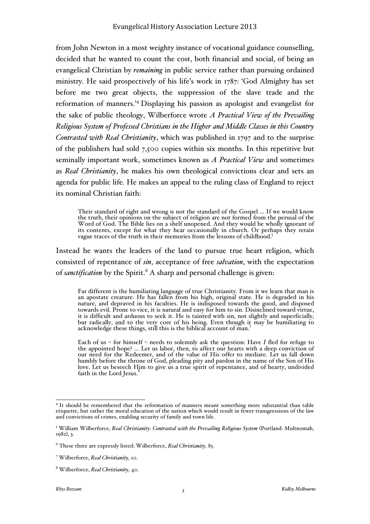from John Newton in a most weighty instance of vocational guidance counselling, decided that he wanted to count the cost, both financial and social, of being an evangelical Christian by *remaining* in public service rather than pursuing ordained ministry. He said prospectively of his life's work in 1787: 'God Almighty has set before me two great objects, the suppression of the slave trade and the reformation of manners.' <sup>4</sup> Displaying his passion as apologist and evangelist for the sake of public theology, Wilberforce wrote *A Practical View of the Prevailing Religious System of Professed Christians in the Higher and Middle Classes in this Country Contrasted with Real Christianity*, which was published in 1797 and to the surprise of the publishers had sold 7,500 copies within six months. In this repetitive but seminally important work, sometimes known as *A Practical View* and sometimes as *Real Christianity*, he makes his own theological convictions clear and sets an agenda for public life. He makes an appeal to the ruling class of England to reject its nominal Christian faith:

Their standard of right and wrong is not the standard of the Gospel … If we would know the truth, their opinions on the subject of religion are not formed from the perusal of the Word of God. The Bible lies on a shelf unopened. And they would be wholly ignorant of its contents, except for what they hear occasionally in church. Or perhaps they retain vague traces of the truth in their memories from the lessons of childhood.<sup>5</sup>

Instead he wants the leaders of the land to pursue true heart religion, which consisted of repentance of *sin*, acceptance of free *salvation*, with the expectation of *sanctification* by the Spirit.<sup>6</sup> A sharp and personal challenge is given:

Far different is the humiliating language of true Christianity. From it we learn that man is<br>an apostate creature. He has fallen from his high, original state. He is degraded in his nature, and depraved in his faculties. He is indisposed towards the good, and disposed towards evil. Prone to vice, it is natural and easy for him to sin. Disinclined toward virtue, it is difficult and arduous to seek it. He is tainted with sin, not slightly and superficially, but radically, and to the very core of his being. Even though it may be humiliating to acknowledge these things, still this is the biblical account of man.<sup>7</sup>

Each of us – for himself – needs to solemnly ask the question: Have *I* fled for refuge to the appointed hope? … Let us labor, then, to affect our hearts with a deep conviction of our need for the Redeemer, and of the value of His offer to mediate. Let us fall down humbly before the throne of God, pleading pity and pardon in the name of the Son of His love. Let us beseech Him to give us a true spirit of repentance, and of hearty, undivided<br>faith in the Lord Jesus.<sup>8</sup>

<sup>&</sup>lt;sup>4</sup> It should be remembered that the reformation of manners meant something more substantial than table etiquette, but rather the moral education of the nation which would result in fewer transgressions of the law and convictions of crimes, enabling security of family and town life.

<sup>5</sup> William Wilberforce, *Real Christianity: Contrasted with the Prevailing Religious System* (Portland: Multnomah, 1982), 3.

<sup>6</sup> These three are expressly listed: Wilberforce, *Real Christianity,* 85.

<sup>7</sup> Wilberforce, *Real Christianity,* 10.

<sup>8</sup> Wilberforce, *Real Christianity,* 40.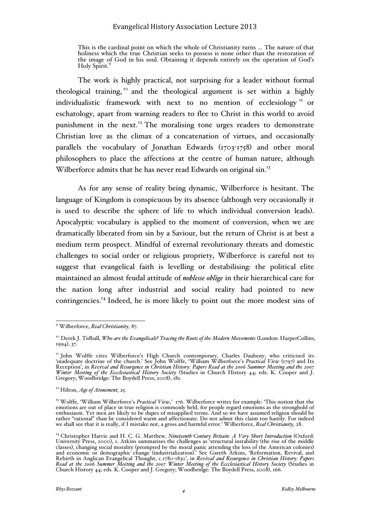This is the cardinal point on which the whole of Christianity turns … The nature of that holiness which the true Christian seeks to possess is none other than the restoration of the image of God in his soul. Obtaining it depends entirely on the operation of God's Holy Spirit.<sup>9</sup>

The work is highly practical, not surprising for a leader without formal theological training, <sup>10</sup> and the theological argument is set within a highly individualistic framework with next to no mention of ecclesiology <sup>11</sup> or eschatology, apart from warning readers to flee to Christ in this world to avoid punishment in the next.<sup>12</sup> The moralising tone urges readers to demonstrate Christian love as the climax of a concatenation of virtues, and occasionally parallels the vocabulary of Jonathan Edwards (1703-1758) and other moral philosophers to place the affections at the centre of human nature, although Wilberforce admits that he has never read Edwards on original sin.<sup>13</sup>

As for any sense of reality being dynamic, Wilberforce is hesitant. The language of Kingdom is conspicuous by its absence (although very occasionally it is used to describe the sphere of life to which individual conversion leads). Apocalyptic vocabulary is applied to the moment of conversion, when we are dramatically liberated from sin by a Saviour, but the return of Christ is at best a medium term prospect. Mindful of external revolutionary threats and domestic challenges to social order or religious propriety, Wilberforce is careful not to suggest that evangelical faith is levelling or destabilising: the political elite maintained an almost feudal attitude of *noblesse oblige* in their hierarchical care for the nation long after industrial and social reality had pointed to new contingencies.14 Indeed, he is more likely to point out the more modest sins of

 <sup>9</sup> Wilberforce, *Real Christianity,* 87.

<sup>&</sup>lt;sup>10</sup> Derek J. Tidball, *Who are the Evangelicals? Tracing the Roots of the Modern Movements* (London: HarperCollins, 1994), 37.

<sup>&</sup>lt;sup>11</sup> John Wolffe cites Wilberforce's High Church contemporary, Charles Daubeny, who criticised its 'inadequate doctrine of the church.' See John Wolffe, 'William Wilberforce's *Practical View* (1797) and Its Reception', in *Revival and Resurgence in Christian History: Papers Read at the 2006 Summer Meeting and the 2007 Winter Meeting of the Eccclesiastical History Society* (Studies in Church History 44; eds. K. Cooper and J.<br>Gregory; Woodbridge: The Boydell Press, 2008), 181.

<sup>12</sup> Hilton, *Age of Atonement,* 25.

<sup>13</sup> Wolffe, 'William Wilberforce's *Practical View*,' 176. Wilberforce writes for example: 'This notion that the emotions are out of place in true religion is commonly held, for people regard emotions as the stronghold of enthusiasm. Yet men are likely to be dupes of misapplied terms. And so we have assumed religion should be rather "rational" than be considered warm and affectionate. Do not admit this claim too hastily. For indeed we shall see that it is really, if I mistake not, a gross and harmful error.' Wilberforce, *Real Christianity,* 28.

<sup>14</sup> Christopher Harvie and H. C. G. Matthew, *Nineteenth-Century Britain: A Very Short Introduction* (Oxford: University Press, 2000), 1. Atkins summarises the challenges as 'structural instability (the rise of the middle classes), changing social morality (prompted by the moral panic attending the loss of the American colonies) and economic or demographic change (industrialization).' See Gareth Atkins, 'Reformation, Revival, and Rebirth in Anglican Evangelical Thought, c.1780-1830', in *Revival and Resurgence in Christian History: Papers*<br>*Read at the 2006 Summer Meeting and the 2007 Winter Meeting of the Eccclesiastical History Society* (Studies Church History 44; eds. K. Cooper and J. Gregory; Woodbridge: The Boydell Press, 2008), 166.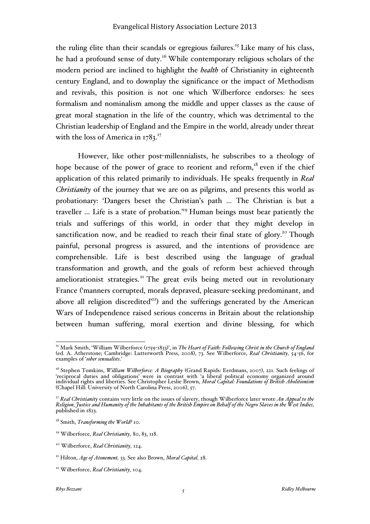the ruling élite than their scandals or egregious failures.<sup>15</sup> Like many of his class, he had a profound sense of duty.<sup>16</sup> While contemporary religious scholars of the modern period are inclined to highlight the *health* of Christianity in eighteenth century England, and to downplay the significance or the impact of Methodism and revivals, this position is not one which Wilberforce endorses: he sees formalism and nominalism among the middle and upper classes as the cause of great moral stagnation in the life of the country, which was detrimental to the Christian leadership of England and the Empire in the world, already under threat with the loss of America in  $1783$ .<sup>17</sup>

However, like other post-millennialists, he subscribes to a theology of hope because of the power of grace to reorient and reform,<sup>18</sup> even if the chief application of this related primarily to individuals. He speaks frequently in *Real Christianity* of the journey that we are on as pilgrims, and presents this world as probationary: 'Dangers beset the Christian's path … The Christian is but a traveller … Life is a state of probation.' <sup>19</sup> Human beings must bear patiently the trials and sufferings of this world, in order that they might develop in sanctification now, and be readied to reach their final state of glory.<sup>20</sup> Though painful, personal progress is assured, and the intentions of providence are comprehensible. Life is best described using the language of gradual transformation and growth, and the goals of reform best achieved through ameliorationist strategies.<sup>21</sup> The great evils being meted out in revolutionary France ('manners corrupted, morals depraved, pleasure-seeking predominant, and above all religion discredited<sup>222</sup>) and the sufferings generated by the American Wars of Independence raised serious concerns in Britain about the relationship between human suffering, moral exertion and divine blessing, for which

 <sup>15</sup> Mark Smith, 'William Wilberforce (1759-1833)', in *The Heart of Faith: Following Christ in the Church of England* (ed. A. Atherstone; Cambridge: Lutterworth Press, 2008), 73. See Wilberforce, *Real Christianity,* 54-56, for examples of '*sober sensualists*.'

<sup>16</sup> Stephen Tomkins, *William Wilberforce: A Biography* (Grand Rapids: Eerdmans, 2007), 221. Such feelings of 'reciprocal duties and obligations' were in contrast with 'a liberal political economy organized around individual rights and liberties. See Christopher Leslie Brown, *Moral Capital: Foundations of British Abolitionism* (Chapel Hill: University of North Carolina Press, 2006), 57.

<sup>&</sup>lt;sup>17</sup> *Real Christianity* contains very little on the issues of slavery, though Wilberforce later wrote *An Appeal to the Religion, Justice and Humanity of the Inhabitants of the British Empire on Behalf of the Negro Slaves in the West Indies*, published in 1823.

<sup>18</sup> Smith, *Transforming the World?* 10.

<sup>19</sup> Wilberforce, *Real Christianity,* 80, 83, 118.

<sup>20</sup> Wilberforce, *Real Christianity,* 124.

<sup>21</sup> Hilton, *Age of Atonement,* 33. See also Brown, *Moral Capital,* 28.

<sup>22</sup> Wilberforce, *Real Christianity,* 104.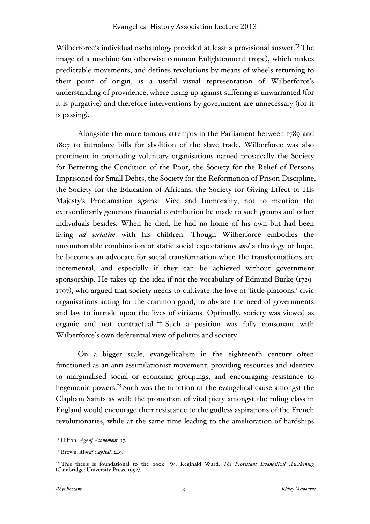Wilberforce's individual eschatology provided at least a provisional answer.<sup>23</sup> The image of a machine (an otherwise common Enlightenment trope), which makes predictable movements, and defines revolutions by means of wheels returning to their point of origin, is a useful visual representation of Wilberforce's understanding of providence, where rising up against suffering is unwarranted (for it is purgative) and therefore interventions by government are unnecessary (for it is passing).

Alongside the more famous attempts in the Parliament between 1789 and 1807 to introduce bills for abolition of the slave trade, Wilberforce was also prominent in promoting voluntary organisations named prosaically the Society for Bettering the Condition of the Poor, the Society for the Relief of Persons Imprisoned for Small Debts, the Society for the Reformation of Prison Discipline, the Society for the Education of Africans, the Society for Giving Effect to His Majesty's Proclamation against Vice and Immorality, not to mention the extraordinarily generous financial contribution he made to such groups and other individuals besides. When he died, he had no home of his own but had been living *ad seriatim* with his children. Though Wilberforce embodies the uncomfortable combination of static social expectations *and* a theology of hope, he becomes an advocate for social transformation when the transformations are incremental, and especially if they can be achieved without government sponsorship. He takes up the idea if not the vocabulary of Edmund Burke (1729- 1797), who argued that society needs to cultivate the love of 'little platoons,' civic organisations acting for the common good, to obviate the need of governments and law to intrude upon the lives of citizens. Optimally, society was viewed as organic and not contractual. <sup>24</sup> Such a position was fully consonant with Wilberforce's own deferential view of politics and society.

On a bigger scale, evangelicalism in the eighteenth century often functioned as an anti-assimilationist movement, providing resources and identity to marginalised social or economic groupings, and encouraging resistance to hegemonic powers. <sup>25</sup> Such was the function of the evangelical cause amongst the Clapham Saints as well: the promotion of vital piety amongst the ruling class in England would encourage their resistance to the godless aspirations of the French revolutionaries, while at the same time leading to the amelioration of hardships

 <sup>23</sup> Hilton, *Age of Atonement,* 17.

<sup>24</sup> Brown, *Moral Capital,* 249.

<sup>&</sup>lt;sup>25</sup> This thesis is foundational to the book: W. Reginald Ward, *The Protestant Evangelical Awakening* (Cambridge: University Press, 1992).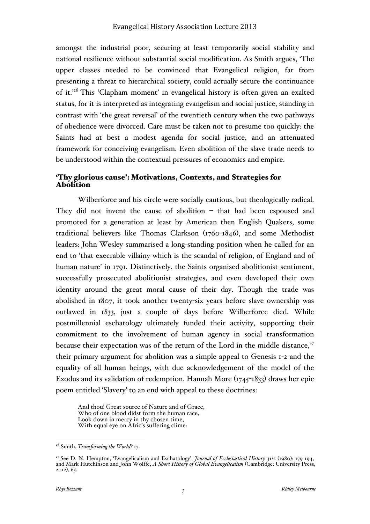amongst the industrial poor, securing at least temporarily social stability and national resilience without substantial social modification. As Smith argues, 'The upper classes needed to be convinced that Evangelical religion, far from presenting a threat to hierarchical society, could actually secure the continuance of it.<sup>26</sup> This 'Clapham moment' in evangelical history is often given an exalted status, for it is interpreted as integrating evangelism and social justice, standing in contrast with 'the great reversal' of the twentieth century when the two pathways of obedience were divorced. Care must be taken not to presume too quickly: the Saints had at best a modest agenda for social justice, and an attenuated framework for conceiving evangelism. Even abolition of the slave trade needs to be understood within the contextual pressures of economics and empire.

# 'Thy glorious cause': Motivations, Contexts, and Strategies for Abolition

Wilberforce and his circle were socially cautious, but theologically radical. They did not invent the cause of abolition – that had been espoused and promoted for a generation at least by American then English Quakers, some traditional believers like Thomas Clarkson (1760-1846), and some Methodist leaders: John Wesley summarised a long-standing position when he called for an end to 'that execrable villainy which is the scandal of religion, of England and of human nature' in 1791. Distinctively, the Saints organised abolitionist sentiment, successfully prosecuted abolitionist strategies, and even developed their own identity around the great moral cause of their day. Though the trade was abolished in 1807, it took another twenty-six years before slave ownership was outlawed in 1833, just a couple of days before Wilberforce died. While postmillennial eschatology ultimately funded their activity, supporting their commitment to the involvement of human agency in social transformation because their expectation was of the return of the Lord in the middle distance, $27$ their primary argument for abolition was a simple appeal to Genesis 1-2 and the equality of all human beings, with due acknowledgement of the model of the Exodus and its validation of redemption. Hannah More (1745-1833) draws her epic poem entitled 'Slavery' to an end with appeal to these doctrines:

And thou! Great source of Nature and of Grace, Who of one blood didst form the human race, Look down in mercy in thy chosen time, With equal eye on Afric's suffering clime:

 <sup>26</sup> Smith, *Transforming the World?* 17.

<sup>&</sup>lt;sup>27</sup> See D. N. Hempton, 'Evangelicalism and Eschatology', *Journal of Ecclesiastical History* 31/2 (1980): 179-194, and Mark Hutchinson and John Wolffe, *A Short History of Global Evangelicalism* (Cambridge: University Pre 2012), 65.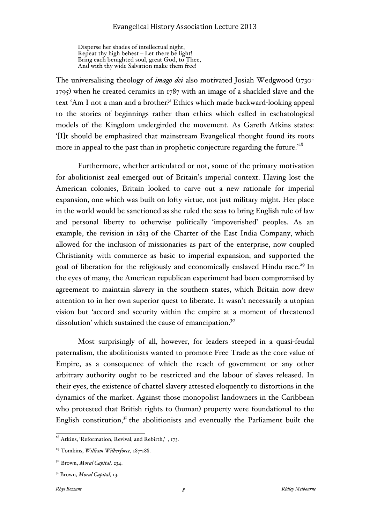Disperse her shades of intellectual night, Repeat thy high behest – Let there be light! Bring each benighted soul, great God, to Thee, And with thy wide Salvation make them free!

The universalising theology of *imago dei* also motivated Josiah Wedgwood (1730- 1795) when he created ceramics in 1787 with an image of a shackled slave and the text 'Am I not a man and a brother?' Ethics which made backward-looking appeal to the stories of beginnings rather than ethics which called in eschatological models of the Kingdom undergirded the movement. As Gareth Atkins states: '[I]t should be emphasized that mainstream Evangelical thought found its roots more in appeal to the past than in prophetic conjecture regarding the future.' $^{\rm 28}$ 

Furthermore, whether articulated or not, some of the primary motivation for abolitionist zeal emerged out of Britain's imperial context. Having lost the American colonies, Britain looked to carve out a new rationale for imperial expansion, one which was built on lofty virtue, not just military might. Her place in the world would be sanctioned as she ruled the seas to bring English rule of law and personal liberty to otherwise politically 'impoverished' peoples. As an example, the revision in 1813 of the Charter of the East India Company, which allowed for the inclusion of missionaries as part of the enterprise, now coupled Christianity with commerce as basic to imperial expansion, and supported the goal of liberation for the religiously and economically enslaved Hindu race.<sup>29</sup> In the eyes of many, the American republican experiment had been compromised by agreement to maintain slavery in the southern states, which Britain now drew attention to in her own superior quest to liberate. It wasn't necessarily a utopian vision but 'accord and security within the empire at a moment of threatened dissolution' which sustained the cause of emancipation.<sup>30</sup>

Most surprisingly of all, however, for leaders steeped in a quasi-feudal paternalism, the abolitionists wanted to promote Free Trade as the core value of Empire, as a consequence of which the reach of government or any other arbitrary authority ought to be restricted and the labour of slaves released. In their eyes, the existence of chattel slavery attested eloquently to distortions in the dynamics of the market. Against those monopolist landowners in the Caribbean who protested that British rights to (human) property were foundational to the English constitution, $3<sup>T</sup>$  the abolitionists and eventually the Parliament built the

<sup>&</sup>lt;sup>28</sup> Atkins, 'Reformation, Revival, and Rebirth,', 173.

<sup>29</sup> Tomkins, *William Wilberforce,* 187-188.

<sup>30</sup> Brown, *Moral Capital,* 234.

<sup>31</sup> Brown, *Moral Capital,* 13.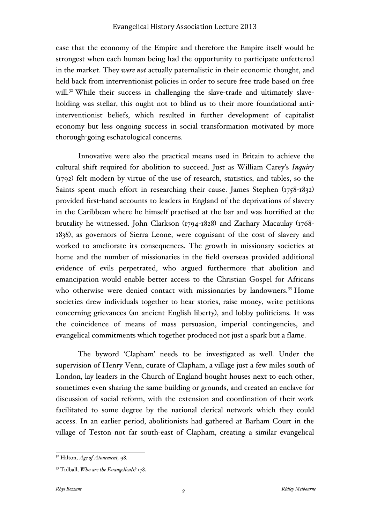case that the economy of the Empire and therefore the Empire itself would be strongest when each human being had the opportunity to participate unfettered in the market. They *were not* actually paternalistic in their economic thought, and held back from interventionist policies in order to secure free trade based on free will.<sup>32</sup> While their success in challenging the slave-trade and ultimately slaveholding was stellar, this ought not to blind us to their more foundational antiinterventionist beliefs, which resulted in further development of capitalist economy but less ongoing success in social transformation motivated by more thorough-going eschatological concerns.

Innovative were also the practical means used in Britain to achieve the cultural shift required for abolition to succeed. Just as William Carey's *Inquiry* (1792) felt modern by virtue of the use of research, statistics, and tables, so the Saints spent much effort in researching their cause. James Stephen (1758-1832) provided first-hand accounts to leaders in England of the deprivations of slavery in the Caribbean where he himself practised at the bar and was horrified at the brutality he witnessed. John Clarkson (1794-1828) and Zachary Macaulay (1768- 1838), as governors of Sierra Leone, were cognisant of the cost of slavery and worked to ameliorate its consequences. The growth in missionary societies at home and the number of missionaries in the field overseas provided additional evidence of evils perpetrated, who argued furthermore that abolition and emancipation would enable better access to the Christian Gospel for Africans who otherwise were denied contact with missionaries by landowners.<sup>33</sup> Home societies drew individuals together to hear stories, raise money, write petitions concerning grievances (an ancient English liberty), and lobby politicians. It was the coincidence of means of mass persuasion, imperial contingencies, and evangelical commitments which together produced not just a spark but a flame.

The byword 'Clapham' needs to be investigated as well. Under the supervision of Henry Venn, curate of Clapham, a village just a few miles south of London, lay leaders in the Church of England bought houses next to each other, sometimes even sharing the same building or grounds, and created an enclave for discussion of social reform, with the extension and coordination of their work facilitated to some degree by the national clerical network which they could access. In an earlier period, abolitionists had gathered at Barham Court in the village of Teston not far south-east of Clapham, creating a similar evangelical

 <sup>32</sup> Hilton, *Age of Atonement,* 98.

<sup>33</sup> Tidball, *Who are the Evangelicals?* 178.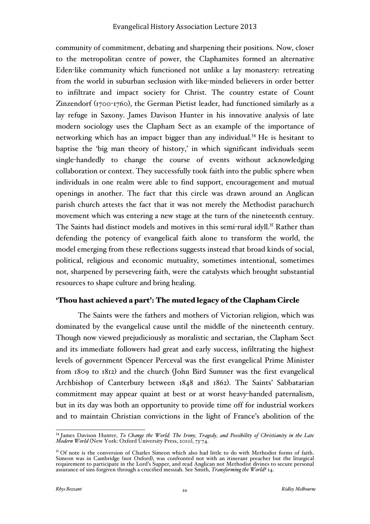community of commitment, debating and sharpening their positions. Now, closer to the metropolitan centre of power, the Claphamites formed an alternative Eden-like community which functioned not unlike a lay monastery: retreating from the world in suburban seclusion with like-minded believers in order better to infiltrate and impact society for Christ. The country estate of Count Zinzendorf (1700-1760), the German Pietist leader, had functioned similarly as a lay refuge in Saxony. James Davison Hunter in his innovative analysis of late modern sociology uses the Clapham Sect as an example of the importance of networking which has an impact bigger than any individual.<sup>34</sup> He is hesitant to baptise the 'big man theory of history,' in which significant individuals seem single-handedly to change the course of events without acknowledging collaboration or context. They successfully took faith into the public sphere when individuals in one realm were able to find support, encouragement and mutual openings in another. The fact that this circle was drawn around an Anglican parish church attests the fact that it was not merely the Methodist parachurch movement which was entering a new stage at the turn of the nineteenth century. The Saints had distinct models and motives in this semi-rural idyll.<sup>35</sup> Rather than defending the potency of evangelical faith alone to transform the world, the model emerging from these reflections suggests instead that broad kinds of social, political, religious and economic mutuality, sometimes intentional, sometimes not, sharpened by persevering faith, were the catalysts which brought substantial resources to shape culture and bring healing.

### 'Thou hast achieved a part': The muted legacy of the Clapham Circle

The Saints were the fathers and mothers of Victorian religion, which was dominated by the evangelical cause until the middle of the nineteenth century. Though now viewed prejudiciously as moralistic and sectarian, the Clapham Sect and its immediate followers had great and early success, infiltrating the highest levels of government (Spencer Perceval was the first evangelical Prime Minister from 1809 to 1812) and the church (John Bird Sumner was the first evangelical Archbishop of Canterbury between 1848 and 1862). The Saints' Sabbatarian commitment may appear quaint at best or at worst heavy-handed paternalism, but in its day was both an opportunity to provide time off for industrial workers and to maintain Christian convictions in the light of France's abolition of the

 <sup>34</sup> James Davison Hunter, *To Change the World: The Irony, Tragedy, and Possibility of Christianity in the Late Modern World* (New York: Oxford University Press, 2010), 73-74.

<sup>&</sup>lt;sup>35</sup> Of note is the conversion of Charles Simeon which also had little to do with Methodist forms of faith. Simeon was in Cambridge (not Oxford), was confronted not with an itinerant preacher but the liturgical requirement to participate in the Lord's Supper, and read Anglican not Methodist divines to secure personal assurance of sins forgiven through a crucified messiah. See Smith, *Transforming the World?* 14.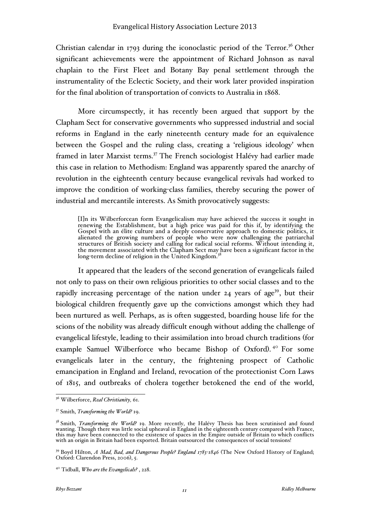Christian calendar in 1793 during the iconoclastic period of the Terror.<sup>36</sup> Other significant achievements were the appointment of Richard Johnson as naval chaplain to the First Fleet and Botany Bay penal settlement through the instrumentality of the Eclectic Society, and their work later provided inspiration for the final abolition of transportation of convicts to Australia in 1868.

More circumspectly, it has recently been argued that support by the Clapham Sect for conservative governments who suppressed industrial and social reforms in England in the early nineteenth century made for an equivalence between the Gospel and the ruling class, creating a 'religious ideology' when framed in later Marxist terms.<sup>37</sup> The French sociologist Halévy had earlier made this case in relation to Methodism: England was apparently spared the anarchy of revolution in the eighteenth century because evangelical revivals had worked to improve the condition of working-class families, thereby securing the power of industrial and mercantile interests. As Smith provocatively suggests:

[I]n its Wilberforcean form Evangelicalism may have achieved the success it sought in renewing the Establishment, but a high price was paid for this if, by identifying the Gospel with an élite culture and a deeply conservative approach to domestic politics, it alienated the growing numbers of people who were now challenging the patriarchal structures of British society and calling for radical social reforms. Without intending it, the movement associated with the Clapham Sect may have been a significant factor in the<br>long-term decline of religion in the United Kingdom.<sup>38</sup>

It appeared that the leaders of the second generation of evangelicals failed not only to pass on their own religious priorities to other social classes and to the rapidly increasing percentage of the nation under  $24$  years of age<sup>39</sup>, but their biological children frequently gave up the convictions amongst which they had been nurtured as well. Perhaps, as is often suggested, boarding house life for the scions of the nobility was already difficult enough without adding the challenge of evangelical lifestyle, leading to their assimilation into broad church traditions (for example Samuel Wilberforce who became Bishop of Oxford).<sup>40</sup> For some evangelicals later in the century, the frightening prospect of Catholic emancipation in England and Ireland, revocation of the protectionist Corn Laws of 1815, and outbreaks of cholera together betokened the end of the world,

 <sup>36</sup> Wilberforce, *Real Christianity,* 61.

<sup>37</sup> Smith, *Transforming the World?* 19.

<sup>&</sup>lt;sup>38</sup> Smith, *Transforming the World*? 19. More recently, the Halévy Thesis has been scrutinised and found wanting. Though there was little social upheaval in England in the eighteenth century compared with France, this may have been connected to the existence of spaces in the Empire outside of Britain to which conflicts with an origin in Britain had been exported. Britain outsourced the consequences of social tensions!

<sup>39</sup> Boyd Hilton, *A Mad, Bad, and Dangerous People? England 1783-1846* (The New Oxford History of England; Oxford: Clarendon Press, 2006), 5.

<sup>40</sup> Tidball, *Who are the Evangelicals?* , 228.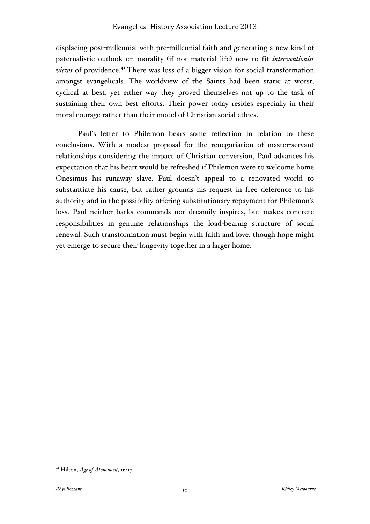displacing post-millennial with pre-millennial faith and generating a new kind of paternalistic outlook on morality (if not material life) now to fit *interventionist views* of providence. <sup>41</sup> There was loss of a bigger vision for social transformation amongst evangelicals. The worldview of the Saints had been static at worst, cyclical at best, yet either way they proved themselves not up to the task of sustaining their own best efforts. Their power today resides especially in their moral courage rather than their model of Christian social ethics.

Paul's letter to Philemon bears some reflection in relation to these conclusions. With a modest proposal for the renegotiation of master-servant relationships considering the impact of Christian conversion, Paul advances his expectation that his heart would be refreshed if Philemon were to welcome home Onesimus his runaway slave. Paul doesn't appeal to a renovated world to substantiate his cause, but rather grounds his request in free deference to his authority and in the possibility offering substitutionary repayment for Philemon's loss. Paul neither barks commands nor dreamily inspires, but makes concrete responsibilities in genuine relationships the load-bearing structure of social renewal. Such transformation must begin with faith and love, though hope might yet emerge to secure their longevity together in a larger home.

 <sup>41</sup> Hilton, *Age of Atonement,* <sup>16</sup>-17.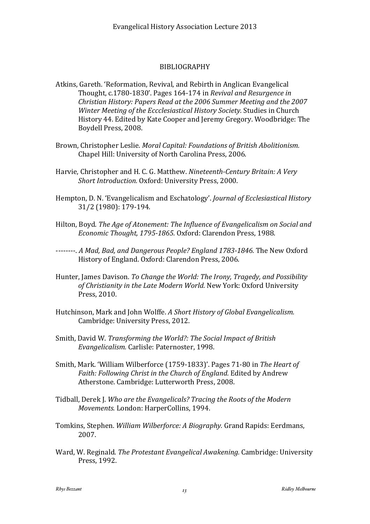### BIBLIOGRAPHY

- Atkins, Gareth. 'Reformation, Revival, and Rebirth in Anglican Evangelical Thought, c.1780-1830'. Pages 164-174 in *Revival and Resurgence in Christian History: Papers Read at the 2006 Summer Meeting and the 2007*  Winter Meeting of the *Eccclesiastical History Society*. Studies in Church History 44. Edited by Kate Cooper and Jeremy Gregory. Woodbridge: The Boydell Press, 2008.
- Brown, Christopher Leslie. *Moral Capital: Foundations of British Abolitionism.* Chapel Hill: University of North Carolina Press, 2006.
- Harvie, Christopher and H. C. G. Matthew. *Nineteenth-Century Britain: A Very Short Introduction.* Oxford: University Press, 2000.
- Hempton, D. N. 'Evangelicalism and Eschatology'. *Journal of Ecclesiastical History* 31/2 (1980): 179-194.
- Hilton, Boyd. *The Age of Atonement: The Influence of Evangelicalism on Social and Economic Thought, 1795-1865.* Oxford: Clarendon Press, 1988.
- --------. A Mad, Bad, and Dangerous People? England 1783-1846. The New Oxford History of England. Oxford: Clarendon Press, 2006.
- Hunter, James Davison. To Change the World: The Irony, Tragedy, and Possibility of Christianity in the Late Modern World. New York: Oxford University Press, 2010.
- Hutchinson, Mark and John Wolffe. A Short History of Global Evangelicalism. Cambridge: University Press, 2012.
- Smith, David W. *Transforming the World?: The Social Impact of British* Evangelicalism. Carlisle: Paternoster, 1998.
- Smith, Mark. 'William Wilberforce (1759-1833)'. Pages 71-80 in The Heart of Faith: Following Christ in the Church of England. Edited by Andrew Atherstone. Cambridge: Lutterworth Press, 2008.
- Tidball, Derek I. *Who are the Evangelicals? Tracing the Roots of the Modern Movements.* London: HarperCollins, 1994.
- Tomkins, Stephen. *William Wilberforce: A Biography.* Grand Rapids: Eerdmans, 2007.
- Ward, W. Reginald. The Protestant Evangelical Awakening. Cambridge: University Press, 1992.